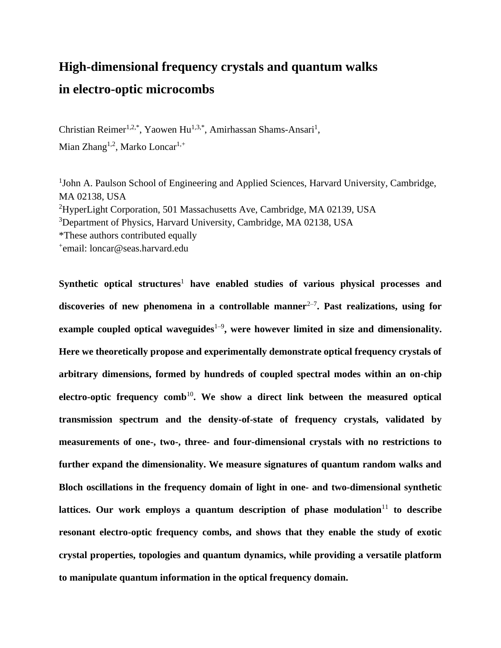# **High-dimensional frequency crystals and quantum walks in electro-optic microcombs**

Christian Reimer<sup>1,2,\*</sup>, Yaowen Hu<sup>1,3,\*</sup>, Amirhassan Shams-Ansari<sup>1</sup>, Mian Zhang<sup>1,2</sup>, Marko Loncar<sup>1,+</sup>

<sup>1</sup>John A. Paulson School of Engineering and Applied Sciences, Harvard University, Cambridge, MA 02138, USA

<sup>2</sup>HyperLight Corporation, 501 Massachusetts Ave, Cambridge, MA 02139, USA

<sup>3</sup>Department of Physics, Harvard University, Cambridge, MA 02138, USA

\*These authors contributed equally

+ email: loncar@seas.harvard.edu

Synthetic optical structures<sup>1</sup> have enabled studies of various physical processes and discoveries of new phenomena in a controllable manner<sup>2-7</sup>. Past realizations, using for example coupled optical waveguides<sup>1-9</sup>, were however limited in size and dimensionality. **Here we theoretically propose and experimentally demonstrate optical frequency crystals of arbitrary dimensions, formed by hundreds of coupled spectral modes within an on-chip**  electro-optic frequency comb<sup>10</sup>. We show a direct link between the measured optical **transmission spectrum and the density-of-state of frequency crystals, validated by measurements of one-, two-, three- and four-dimensional crystals with no restrictions to further expand the dimensionality. We measure signatures of quantum random walks and Bloch oscillations in the frequency domain of light in one- and two-dimensional synthetic**  lattices. Our work employs a quantum description of phase modulation<sup> $11$ </sup> to describe **resonant electro-optic frequency combs, and shows that they enable the study of exotic crystal properties, topologies and quantum dynamics, while providing a versatile platform to manipulate quantum information in the optical frequency domain.**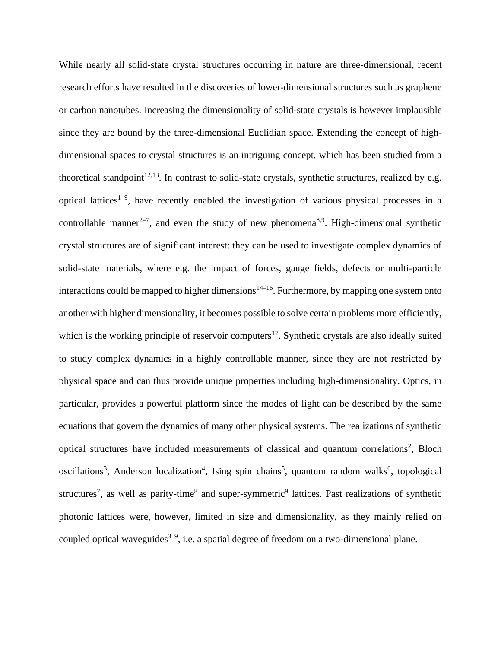While nearly all solid-state crystal structures occurring in nature are three-dimensional, recent research efforts have resulted in the discoveries of lower-dimensional structures such as graphene or carbon nanotubes. Increasing the dimensionality of solid-state crystals is however implausible since they are bound by the three-dimensional Euclidian space. Extending the concept of highdimensional spaces to crystal structures is an intriguing concept, which has been studied from a theoretical standpoint<sup>12,13</sup>. In contrast to solid-state crystals, synthetic structures, realized by e.g. optical lattices<sup>1–9</sup>, have recently enabled the investigation of various physical processes in a controllable manner<sup>2-7</sup>, and even the study of new phenomena<sup>8,9</sup>. High-dimensional synthetic crystal structures are of significant interest: they can be used to investigate complex dynamics of solid-state materials, where e.g. the impact of forces, gauge fields, defects or multi-particle interactions could be mapped to higher dimensions<sup>14–16</sup>. Furthermore, by mapping one system onto another with higher dimensionality, it becomes possible to solve certain problems more efficiently, which is the working principle of reservoir computers<sup>17</sup>. Synthetic crystals are also ideally suited to study complex dynamics in a highly controllable manner, since they are not restricted by physical space and can thus provide unique properties including high-dimensionality. Optics, in particular, provides a powerful platform since the modes of light can be described by the same equations that govern the dynamics of many other physical systems. The realizations of synthetic optical structures have included measurements of classical and quantum correlations<sup>2</sup>, Bloch oscillations<sup>3</sup>, Anderson localization<sup>4</sup>, Ising spin chains<sup>5</sup>, quantum random walks<sup>6</sup>, topological structures<sup>7</sup>, as well as parity-time<sup>8</sup> and super-symmetric<sup>9</sup> lattices. Past realizations of synthetic photonic lattices were, however, limited in size and dimensionality, as they mainly relied on coupled optical waveguides<sup>3–9</sup>, i.e. a spatial degree of freedom on a two-dimensional plane.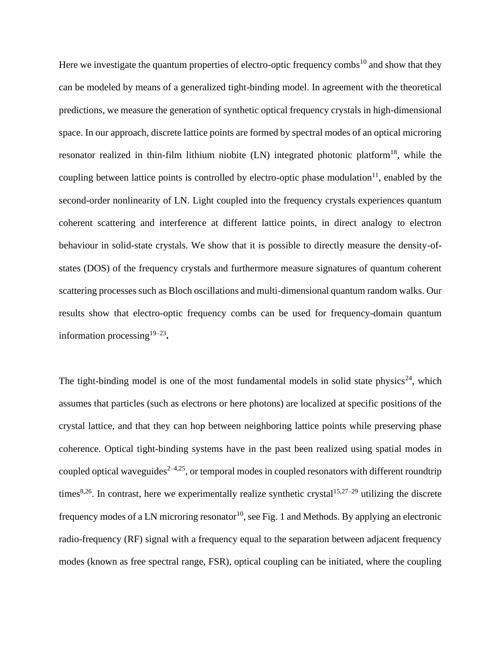Here we investigate the quantum properties of electro-optic frequency combs<sup>10</sup> and show that they can be modeled by means of a generalized tight-binding model. In agreement with the theoretical predictions, we measure the generation of synthetic optical frequency crystals in high-dimensional space. In our approach, discrete lattice points are formed by spectral modes of an optical microring resonator realized in thin-film lithium niobite  $(LN)$  integrated photonic platform<sup>18</sup>, while the coupling between lattice points is controlled by electro-optic phase modulation<sup>11</sup>, enabled by the second-order nonlinearity of LN. Light coupled into the frequency crystals experiences quantum coherent scattering and interference at different lattice points, in direct analogy to electron behaviour in solid-state crystals. We show that it is possible to directly measure the density-ofstates (DOS) of the frequency crystals and furthermore measure signatures of quantum coherent scattering processes such as Bloch oscillations and multi-dimensional quantum random walks. Our results show that electro-optic frequency combs can be used for frequency-domain quantum information processing<sup>19-23</sup>.

The tight-binding model is one of the most fundamental models in solid state physics<sup>24</sup>, which assumes that particles (such as electrons or here photons) are localized at specific positions of the crystal lattice, and that they can hop between neighboring lattice points while preserving phase coherence. Optical tight-binding systems have in the past been realized using spatial modes in coupled optical waveguides<sup> $2-4,25$ </sup>, or temporal modes in coupled resonators with different roundtrip times<sup>8,26</sup>. In contrast, here we experimentally realize synthetic crystal<sup>15,27–29</sup> utilizing the discrete frequency modes of a LN microring resonator<sup>10</sup>, see Fig. 1 and Methods. By applying an electronic radio-frequency (RF) signal with a frequency equal to the separation between adjacent frequency modes (known as free spectral range, FSR), optical coupling can be initiated, where the coupling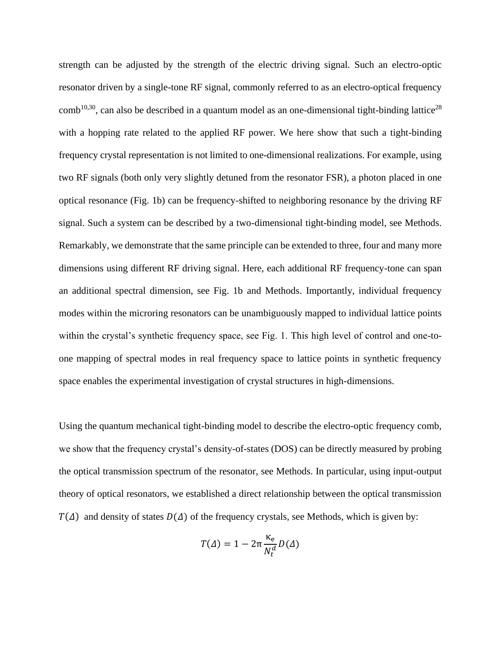strength can be adjusted by the strength of the electric driving signal. Such an electro-optic resonator driven by a single-tone RF signal, commonly referred to as an electro-optical frequency  $comb^{10,30}$ , can also be described in a quantum model as an one-dimensional tight-binding lattice<sup>28</sup> with a hopping rate related to the applied RF power. We here show that such a tight-binding frequency crystal representation is not limited to one-dimensional realizations. For example, using two RF signals (both only very slightly detuned from the resonator FSR), a photon placed in one optical resonance (Fig. 1b) can be frequency-shifted to neighboring resonance by the driving RF signal. Such a system can be described by a two-dimensional tight-binding model, see Methods. Remarkably, we demonstrate that the same principle can be extended to three, four and many more dimensions using different RF driving signal. Here, each additional RF frequency-tone can span an additional spectral dimension, see Fig. 1b and Methods. Importantly, individual frequency modes within the microring resonators can be unambiguously mapped to individual lattice points within the crystal's synthetic frequency space, see Fig. 1. This high level of control and one-toone mapping of spectral modes in real frequency space to lattice points in synthetic frequency space enables the experimental investigation of crystal structures in high-dimensions.

Using the quantum mechanical tight-binding model to describe the electro-optic frequency comb, we show that the frequency crystal's density-of-states (DOS) can be directly measured by probing the optical transmission spectrum of the resonator, see Methods. In particular, using input-output theory of optical resonators, we established a direct relationship between the optical transmission  $T(\Delta)$  and density of states  $D(\Delta)$  of the frequency crystals, see Methods, which is given by:

$$
T(\Delta) = 1 - 2\pi \frac{\kappa_e}{N_t^d} D(\Delta)
$$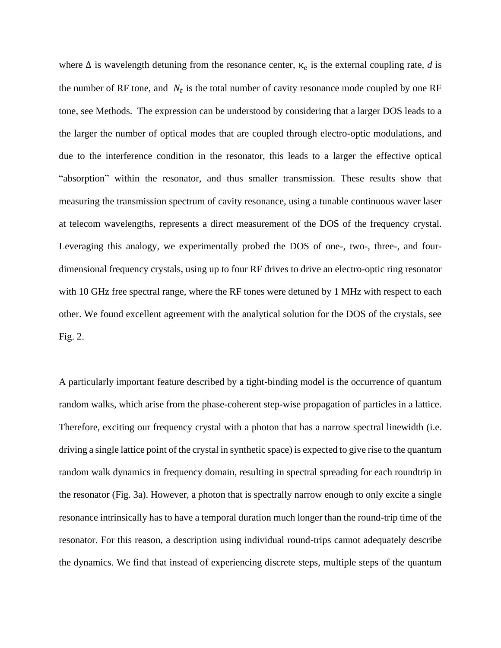where  $\Delta$  is wavelength detuning from the resonance center,  $\kappa_e$  is the external coupling rate, *d* is the number of RF tone, and  $N_t$  is the total number of cavity resonance mode coupled by one RF tone, see Methods. The expression can be understood by considering that a larger DOS leads to a the larger the number of optical modes that are coupled through electro-optic modulations, and due to the interference condition in the resonator, this leads to a larger the effective optical "absorption" within the resonator, and thus smaller transmission. These results show that measuring the transmission spectrum of cavity resonance, using a tunable continuous waver laser at telecom wavelengths, represents a direct measurement of the DOS of the frequency crystal. Leveraging this analogy, we experimentally probed the DOS of one-, two-, three-, and fourdimensional frequency crystals, using up to four RF drives to drive an electro-optic ring resonator with 10 GHz free spectral range, where the RF tones were detuned by 1 MHz with respect to each other. We found excellent agreement with the analytical solution for the DOS of the crystals, see Fig. 2.

A particularly important feature described by a tight-binding model is the occurrence of quantum random walks, which arise from the phase-coherent step-wise propagation of particles in a lattice. Therefore, exciting our frequency crystal with a photon that has a narrow spectral linewidth (i.e. driving a single lattice point of the crystal in synthetic space) is expected to give rise to the quantum random walk dynamics in frequency domain, resulting in spectral spreading for each roundtrip in the resonator (Fig. 3a). However, a photon that is spectrally narrow enough to only excite a single resonance intrinsically has to have a temporal duration much longer than the round-trip time of the resonator. For this reason, a description using individual round-trips cannot adequately describe the dynamics. We find that instead of experiencing discrete steps, multiple steps of the quantum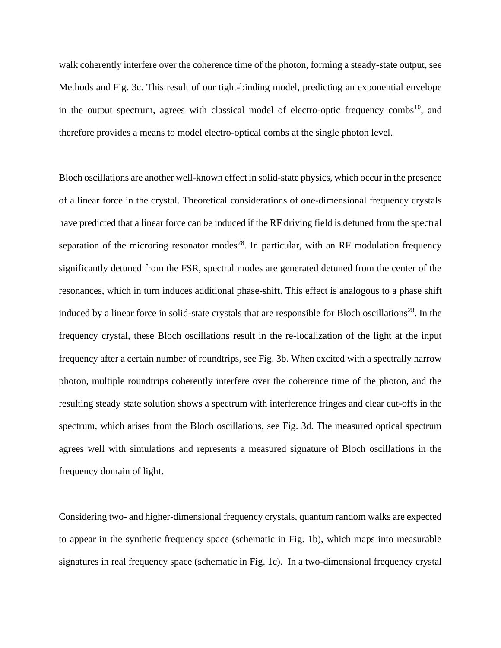walk coherently interfere over the coherence time of the photon, forming a steady-state output, see Methods and Fig. 3c. This result of our tight-binding model, predicting an exponential envelope in the output spectrum, agrees with classical model of electro-optic frequency combs<sup>10</sup>, and therefore provides a means to model electro-optical combs at the single photon level.

Bloch oscillations are another well-known effect in solid-state physics, which occur in the presence of a linear force in the crystal. Theoretical considerations of one-dimensional frequency crystals have predicted that a linear force can be induced if the RF driving field is detuned from the spectral separation of the microring resonator modes<sup>28</sup>. In particular, with an RF modulation frequency significantly detuned from the FSR, spectral modes are generated detuned from the center of the resonances, which in turn induces additional phase-shift. This effect is analogous to a phase shift induced by a linear force in solid-state crystals that are responsible for Bloch oscillations<sup>28</sup>. In the frequency crystal, these Bloch oscillations result in the re-localization of the light at the input frequency after a certain number of roundtrips, see Fig. 3b. When excited with a spectrally narrow photon, multiple roundtrips coherently interfere over the coherence time of the photon, and the resulting steady state solution shows a spectrum with interference fringes and clear cut-offs in the spectrum, which arises from the Bloch oscillations, see Fig. 3d. The measured optical spectrum agrees well with simulations and represents a measured signature of Bloch oscillations in the frequency domain of light.

Considering two- and higher-dimensional frequency crystals, quantum random walks are expected to appear in the synthetic frequency space (schematic in Fig. 1b), which maps into measurable signatures in real frequency space (schematic in Fig. 1c). In a two-dimensional frequency crystal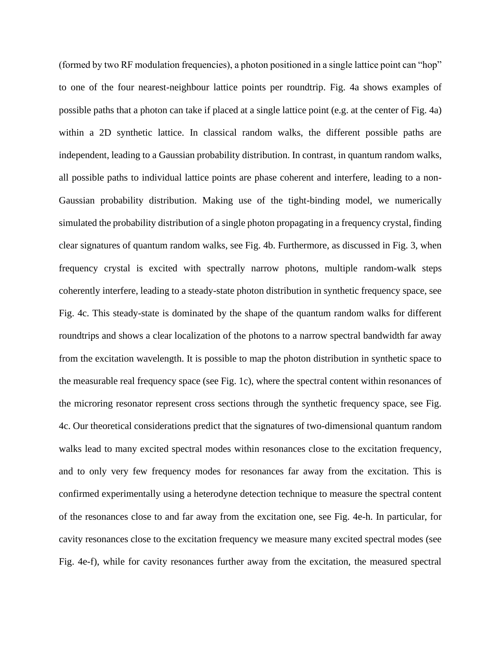(formed by two RF modulation frequencies), a photon positioned in a single lattice point can "hop" to one of the four nearest-neighbour lattice points per roundtrip. Fig. 4a shows examples of possible paths that a photon can take if placed at a single lattice point (e.g. at the center of Fig. 4a) within a 2D synthetic lattice. In classical random walks, the different possible paths are independent, leading to a Gaussian probability distribution. In contrast, in quantum random walks, all possible paths to individual lattice points are phase coherent and interfere, leading to a non-Gaussian probability distribution. Making use of the tight-binding model, we numerically simulated the probability distribution of a single photon propagating in a frequency crystal, finding clear signatures of quantum random walks, see Fig. 4b. Furthermore, as discussed in Fig. 3, when frequency crystal is excited with spectrally narrow photons, multiple random-walk steps coherently interfere, leading to a steady-state photon distribution in synthetic frequency space, see Fig. 4c. This steady-state is dominated by the shape of the quantum random walks for different roundtrips and shows a clear localization of the photons to a narrow spectral bandwidth far away from the excitation wavelength. It is possible to map the photon distribution in synthetic space to the measurable real frequency space (see Fig. 1c), where the spectral content within resonances of the microring resonator represent cross sections through the synthetic frequency space, see Fig. 4c. Our theoretical considerations predict that the signatures of two-dimensional quantum random walks lead to many excited spectral modes within resonances close to the excitation frequency, and to only very few frequency modes for resonances far away from the excitation. This is confirmed experimentally using a heterodyne detection technique to measure the spectral content of the resonances close to and far away from the excitation one, see Fig. 4e-h. In particular, for cavity resonances close to the excitation frequency we measure many excited spectral modes (see Fig. 4e-f), while for cavity resonances further away from the excitation, the measured spectral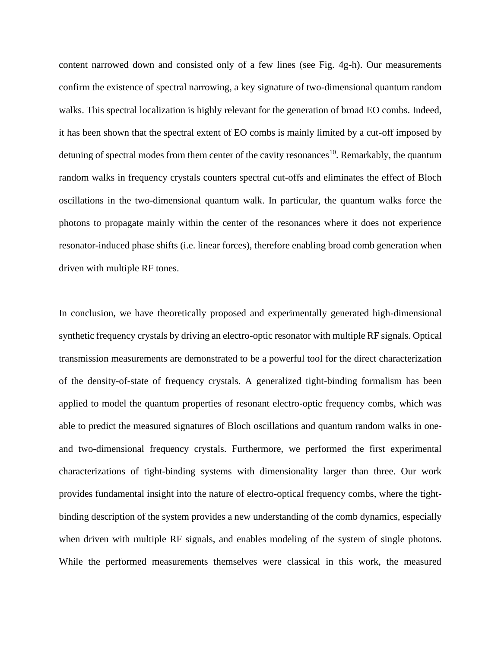content narrowed down and consisted only of a few lines (see Fig. 4g-h). Our measurements confirm the existence of spectral narrowing, a key signature of two-dimensional quantum random walks. This spectral localization is highly relevant for the generation of broad EO combs. Indeed, it has been shown that the spectral extent of EO combs is mainly limited by a cut-off imposed by detuning of spectral modes from them center of the cavity resonances<sup>10</sup>. Remarkably, the quantum random walks in frequency crystals counters spectral cut-offs and eliminates the effect of Bloch oscillations in the two-dimensional quantum walk. In particular, the quantum walks force the photons to propagate mainly within the center of the resonances where it does not experience resonator-induced phase shifts (i.e. linear forces), therefore enabling broad comb generation when driven with multiple RF tones.

In conclusion, we have theoretically proposed and experimentally generated high-dimensional synthetic frequency crystals by driving an electro-optic resonator with multiple RF signals. Optical transmission measurements are demonstrated to be a powerful tool for the direct characterization of the density-of-state of frequency crystals. A generalized tight-binding formalism has been applied to model the quantum properties of resonant electro-optic frequency combs, which was able to predict the measured signatures of Bloch oscillations and quantum random walks in oneand two-dimensional frequency crystals. Furthermore, we performed the first experimental characterizations of tight-binding systems with dimensionality larger than three. Our work provides fundamental insight into the nature of electro-optical frequency combs, where the tightbinding description of the system provides a new understanding of the comb dynamics, especially when driven with multiple RF signals, and enables modeling of the system of single photons. While the performed measurements themselves were classical in this work, the measured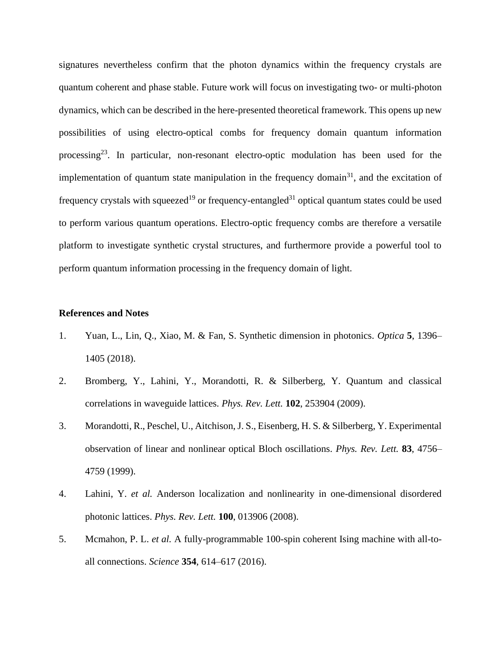signatures nevertheless confirm that the photon dynamics within the frequency crystals are quantum coherent and phase stable. Future work will focus on investigating two- or multi-photon dynamics, which can be described in the here-presented theoretical framework. This opens up new possibilities of using electro-optical combs for frequency domain quantum information processing<sup>23</sup>. In particular, non-resonant electro-optic modulation has been used for the implementation of quantum state manipulation in the frequency domain<sup>31</sup>, and the excitation of frequency crystals with squeezed<sup>19</sup> or frequency-entangled<sup>31</sup> optical quantum states could be used to perform various quantum operations. Electro-optic frequency combs are therefore a versatile platform to investigate synthetic crystal structures, and furthermore provide a powerful tool to perform quantum information processing in the frequency domain of light.

### **References and Notes**

- 1. Yuan, L., Lin, Q., Xiao, M. & Fan, S. Synthetic dimension in photonics. *Optica* **5**, 1396– 1405 (2018).
- 2. Bromberg, Y., Lahini, Y., Morandotti, R. & Silberberg, Y. Quantum and classical correlations in waveguide lattices. *Phys. Rev. Lett.* **102**, 253904 (2009).
- 3. Morandotti, R., Peschel, U., Aitchison, J. S., Eisenberg, H. S. & Silberberg, Y. Experimental observation of linear and nonlinear optical Bloch oscillations. *Phys. Rev. Lett.* **83**, 4756– 4759 (1999).
- 4. Lahini, Y. *et al.* Anderson localization and nonlinearity in one-dimensional disordered photonic lattices. *Phys. Rev. Lett.* **100**, 013906 (2008).
- 5. Mcmahon, P. L. *et al.* A fully-programmable 100-spin coherent Ising machine with all-toall connections. *Science* **354**, 614–617 (2016).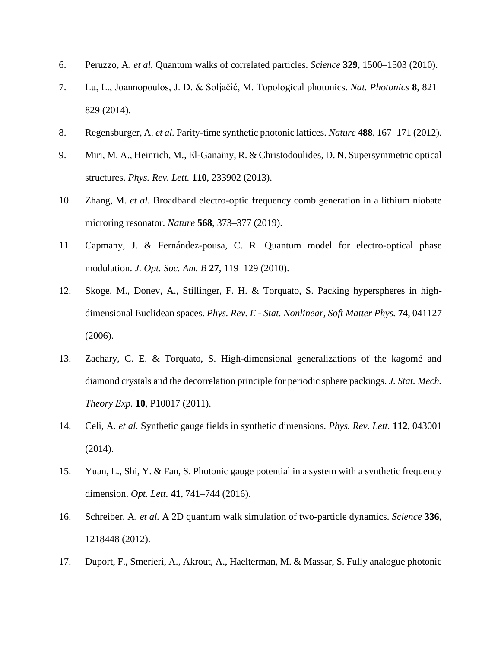- 6. Peruzzo, A. *et al.* Quantum walks of correlated particles. *Science* **329**, 1500–1503 (2010).
- 7. Lu, L., Joannopoulos, J. D. & Soljačić, M. Topological photonics. *Nat. Photonics* **8**, 821– 829 (2014).
- 8. Regensburger, A. *et al.* Parity-time synthetic photonic lattices. *Nature* **488**, 167–171 (2012).
- 9. Miri, M. A., Heinrich, M., El-Ganainy, R. & Christodoulides, D. N. Supersymmetric optical structures. *Phys. Rev. Lett.* **110**, 233902 (2013).
- 10. Zhang, M. *et al.* Broadband electro-optic frequency comb generation in a lithium niobate microring resonator. *Nature* **568**, 373–377 (2019).
- 11. Capmany, J. & Fernández-pousa, C. R. Quantum model for electro-optical phase modulation. *J. Opt. Soc. Am. B* **27**, 119–129 (2010).
- 12. Skoge, M., Donev, A., Stillinger, F. H. & Torquato, S. Packing hyperspheres in highdimensional Euclidean spaces. *Phys. Rev. E - Stat. Nonlinear, Soft Matter Phys.* **74**, 041127 (2006).
- 13. Zachary, C. E. & Torquato, S. High-dimensional generalizations of the kagomé and diamond crystals and the decorrelation principle for periodic sphere packings. *J. Stat. Mech. Theory Exp.* **10**, P10017 (2011).
- 14. Celi, A. *et al.* Synthetic gauge fields in synthetic dimensions. *Phys. Rev. Lett.* **112**, 043001 (2014).
- 15. Yuan, L., Shi, Y. & Fan, S. Photonic gauge potential in a system with a synthetic frequency dimension. *Opt. Lett.* **41**, 741–744 (2016).
- 16. Schreiber, A. *et al.* A 2D quantum walk simulation of two-particle dynamics. *Science* **336**, 1218448 (2012).
- 17. Duport, F., Smerieri, A., Akrout, A., Haelterman, M. & Massar, S. Fully analogue photonic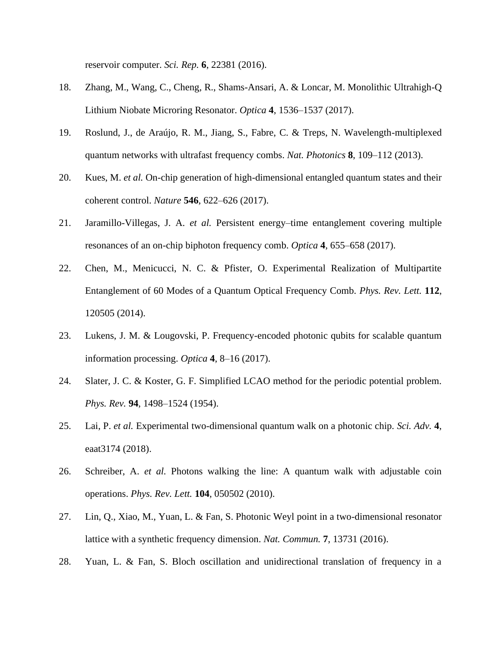reservoir computer. *Sci. Rep.* **6**, 22381 (2016).

- 18. Zhang, M., Wang, C., Cheng, R., Shams-Ansari, A. & Loncar, M. Monolithic Ultrahigh-Q Lithium Niobate Microring Resonator. *Optica* **4**, 1536–1537 (2017).
- 19. Roslund, J., de Araújo, R. M., Jiang, S., Fabre, C. & Treps, N. Wavelength-multiplexed quantum networks with ultrafast frequency combs. *Nat. Photonics* **8**, 109–112 (2013).
- 20. Kues, M. *et al.* On-chip generation of high-dimensional entangled quantum states and their coherent control. *Nature* **546**, 622–626 (2017).
- 21. Jaramillo-Villegas, J. A. *et al.* Persistent energy–time entanglement covering multiple resonances of an on-chip biphoton frequency comb. *Optica* **4**, 655–658 (2017).
- 22. Chen, M., Menicucci, N. C. & Pfister, O. Experimental Realization of Multipartite Entanglement of 60 Modes of a Quantum Optical Frequency Comb. *Phys. Rev. Lett.* **112**, 120505 (2014).
- 23. Lukens, J. M. & Lougovski, P. Frequency-encoded photonic qubits for scalable quantum information processing. *Optica* **4**, 8–16 (2017).
- 24. Slater, J. C. & Koster, G. F. Simplified LCAO method for the periodic potential problem. *Phys. Rev.* **94**, 1498–1524 (1954).
- 25. Lai, P. *et al.* Experimental two-dimensional quantum walk on a photonic chip. *Sci. Adv.* **4**, eaat3174 (2018).
- 26. Schreiber, A. *et al.* Photons walking the line: A quantum walk with adjustable coin operations. *Phys. Rev. Lett.* **104**, 050502 (2010).
- 27. Lin, Q., Xiao, M., Yuan, L. & Fan, S. Photonic Weyl point in a two-dimensional resonator lattice with a synthetic frequency dimension. *Nat. Commun.* **7**, 13731 (2016).
- 28. Yuan, L. & Fan, S. Bloch oscillation and unidirectional translation of frequency in a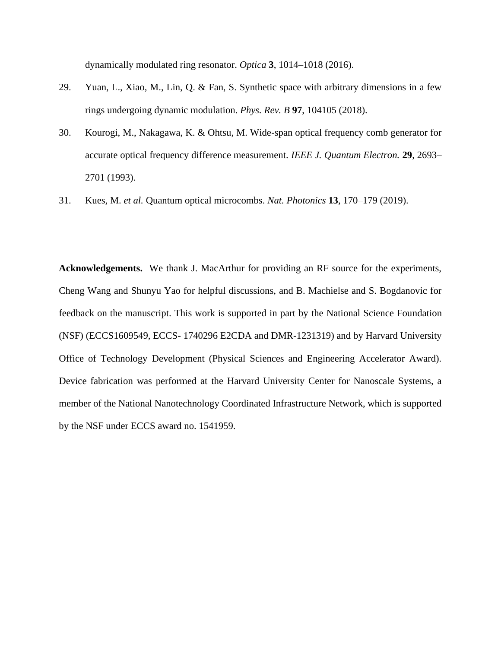dynamically modulated ring resonator. *Optica* **3**, 1014–1018 (2016).

- 29. Yuan, L., Xiao, M., Lin, Q. & Fan, S. Synthetic space with arbitrary dimensions in a few rings undergoing dynamic modulation. *Phys. Rev. B* **97**, 104105 (2018).
- 30. Kourogi, M., Nakagawa, K. & Ohtsu, M. Wide-span optical frequency comb generator for accurate optical frequency difference measurement. *IEEE J. Quantum Electron.* **29**, 2693– 2701 (1993).
- 31. Kues, M. *et al.* Quantum optical microcombs. *Nat. Photonics* **13**, 170–179 (2019).

**Acknowledgements.** We thank J. MacArthur for providing an RF source for the experiments, Cheng Wang and Shunyu Yao for helpful discussions, and B. Machielse and S. Bogdanovic for feedback on the manuscript. This work is supported in part by the National Science Foundation (NSF) (ECCS1609549, ECCS- 1740296 E2CDA and DMR-1231319) and by Harvard University Office of Technology Development (Physical Sciences and Engineering Accelerator Award). Device fabrication was performed at the Harvard University Center for Nanoscale Systems, a member of the National Nanotechnology Coordinated Infrastructure Network, which is supported by the NSF under ECCS award no. 1541959.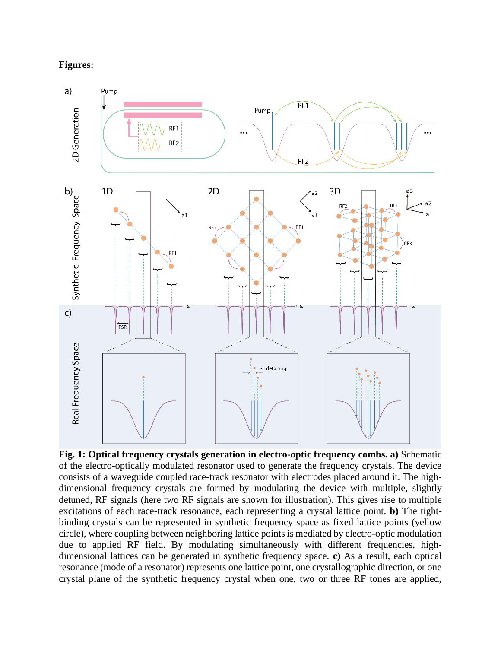## **Figures:**



**Fig. 1: Optical frequency crystals generation in electro-optic frequency combs. a)** Schematic of the electro-optically modulated resonator used to generate the frequency crystals. The device consists of a waveguide coupled race-track resonator with electrodes placed around it. The highdimensional frequency crystals are formed by modulating the device with multiple, slightly detuned, RF signals (here two RF signals are shown for illustration). This gives rise to multiple excitations of each race-track resonance, each representing a crystal lattice point. **b)** The tightbinding crystals can be represented in synthetic frequency space as fixed lattice points (yellow circle), where coupling between neighboring lattice points is mediated by electro-optic modulation due to applied RF field. By modulating simultaneously with different frequencies, highdimensional lattices can be generated in synthetic frequency space. **c)** As a result, each optical resonance (mode of a resonator) represents one lattice point, one crystallographic direction, or one crystal plane of the synthetic frequency crystal when one, two or three RF tones are applied,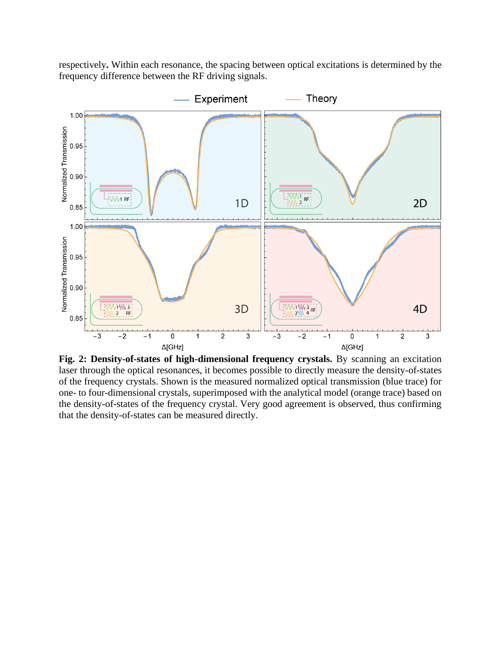respectively**.** Within each resonance, the spacing between optical excitations is determined by the frequency difference between the RF driving signals.



**Fig. 2: Density-of-states of high-dimensional frequency crystals.** By scanning an excitation laser through the optical resonances, it becomes possible to directly measure the density-of-states of the frequency crystals. Shown is the measured normalized optical transmission (blue trace) for one- to four-dimensional crystals, superimposed with the analytical model (orange trace) based on the density-of-states of the frequency crystal. Very good agreement is observed, thus confirming that the density-of-states can be measured directly.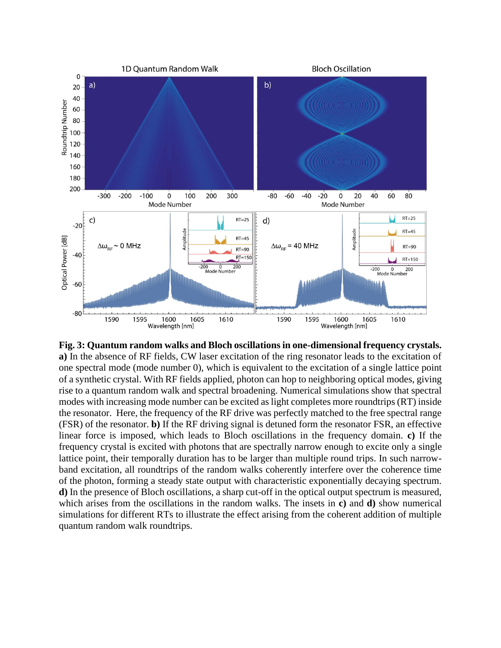

**Fig. 3: Quantum random walks and Bloch oscillations in one-dimensional frequency crystals. a)** In the absence of RF fields, CW laser excitation of the ring resonator leads to the excitation of one spectral mode (mode number 0), which is equivalent to the excitation of a single lattice point of a synthetic crystal. With RF fields applied, photon can hop to neighboring optical modes, giving rise to a quantum random walk and spectral broadening. Numerical simulations show that spectral modes with increasing mode number can be excited as light completes more roundtrips (RT) inside the resonator. Here, the frequency of the RF drive was perfectly matched to the free spectral range (FSR) of the resonator. **b)** If the RF driving signal is detuned form the resonator FSR, an effective linear force is imposed, which leads to Bloch oscillations in the frequency domain. **c)** If the frequency crystal is excited with photons that are spectrally narrow enough to excite only a single lattice point, their temporally duration has to be larger than multiple round trips. In such narrowband excitation, all roundtrips of the random walks coherently interfere over the coherence time of the photon, forming a steady state output with characteristic exponentially decaying spectrum. **d)** In the presence of Bloch oscillations, a sharp cut-off in the optical output spectrum is measured, which arises from the oscillations in the random walks. The insets in **c)** and **d)** show numerical simulations for different RTs to illustrate the effect arising from the coherent addition of multiple quantum random walk roundtrips.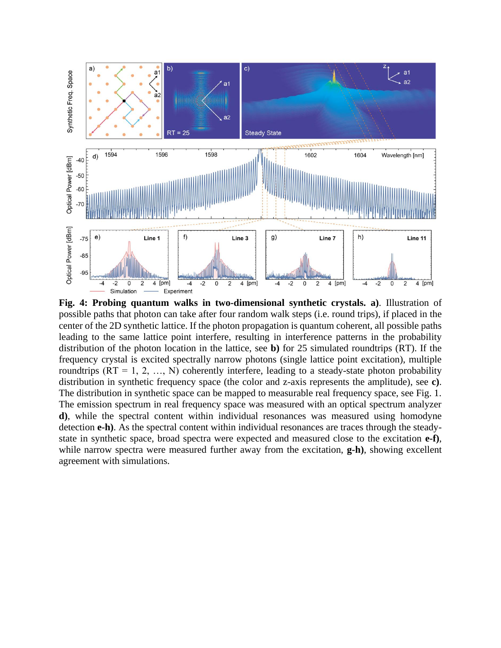

**Fig. 4: Probing quantum walks in two-dimensional synthetic crystals. a)**. Illustration of possible paths that photon can take after four random walk steps (i.e. round trips), if placed in the center of the 2D synthetic lattice. If the photon propagation is quantum coherent, all possible paths leading to the same lattice point interfere, resulting in interference patterns in the probability distribution of the photon location in the lattice, see **b)** for 25 simulated roundtrips (RT). If the frequency crystal is excited spectrally narrow photons (single lattice point excitation), multiple roundtrips  $(RT = 1, 2, ..., N)$  coherently interfere, leading to a steady-state photon probability distribution in synthetic frequency space (the color and z-axis represents the amplitude), see **c)**. The distribution in synthetic space can be mapped to measurable real frequency space, see Fig. 1. The emission spectrum in real frequency space was measured with an optical spectrum analyzer **d)**, while the spectral content within individual resonances was measured using homodyne detection **e-h)**. As the spectral content within individual resonances are traces through the steadystate in synthetic space, broad spectra were expected and measured close to the excitation **e-f)**, while narrow spectra were measured further away from the excitation, **g-h)**, showing excellent agreement with simulations.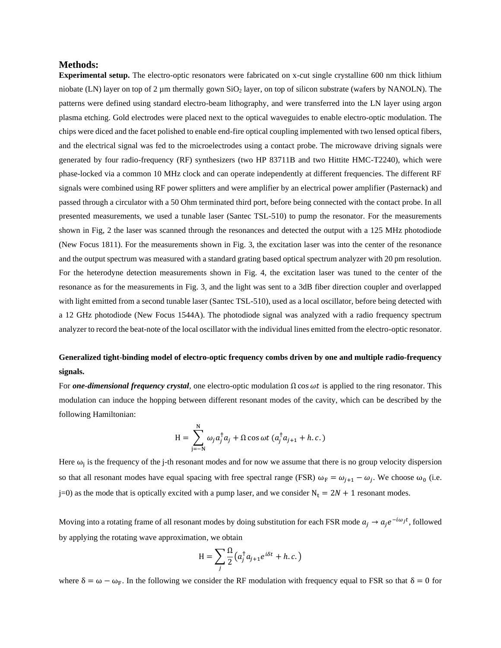#### **Methods:**

**Experimental setup.** The electro-optic resonators were fabricated on x-cut single crystalline 600 nm thick lithium niobate (LN) layer on top of 2 µm thermally gown SiO<sub>2</sub> layer, on top of silicon substrate (wafers by NANOLN). The patterns were defined using standard electro-beam lithography, and were transferred into the LN layer using argon plasma etching. Gold electrodes were placed next to the optical waveguides to enable electro-optic modulation. The chips were diced and the facet polished to enable end-fire optical coupling implemented with two lensed optical fibers, and the electrical signal was fed to the microelectrodes using a contact probe. The microwave driving signals were generated by four radio-frequency (RF) synthesizers (two HP 83711B and two Hittite HMC-T2240), which were phase-locked via a common 10 MHz clock and can operate independently at different frequencies. The different RF signals were combined using RF power splitters and were amplifier by an electrical power amplifier (Pasternack) and passed through a circulator with a 50 Ohm terminated third port, before being connected with the contact probe. In all presented measurements, we used a tunable laser (Santec TSL-510) to pump the resonator. For the measurements shown in Fig, 2 the laser was scanned through the resonances and detected the output with a 125 MHz photodiode (New Focus 1811). For the measurements shown in Fig. 3, the excitation laser was into the center of the resonance and the output spectrum was measured with a standard grating based optical spectrum analyzer with 20 pm resolution. For the heterodyne detection measurements shown in Fig. 4, the excitation laser was tuned to the center of the resonance as for the measurements in Fig. 3, and the light was sent to a 3dB fiber direction coupler and overlapped with light emitted from a second tunable laser (Santec TSL-510), used as a local oscillator, before being detected with a 12 GHz photodiode (New Focus 1544A). The photodiode signal was analyzed with a radio frequency spectrum analyzer to record the beat-note of the local oscillator with the individual lines emitted from the electro-optic resonator.

## **Generalized tight-binding model of electro-optic frequency combs driven by one and multiple radio-frequency signals.**

For *one-dimensional frequency crystal*, one electro-optic modulation Ωcos is applied to the ring resonator. This modulation can induce the hopping between different resonant modes of the cavity, which can be described by the following Hamiltonian:

$$
H = \sum_{j=-N}^{N} \omega_j a_j^{\dagger} a_j + \Omega \cos \omega t \left( a_j^{\dagger} a_{j+1} + h.c. \right)
$$

Here  $\omega_j$  is the frequency of the j-th resonant modes and for now we assume that there is no group velocity dispersion so that all resonant modes have equal spacing with free spectral range (FSR)  $\omega_F = \omega_{j+1} - \omega_j$ . We choose  $\omega_0$  (i.e. j=0) as the mode that is optically excited with a pump laser, and we consider  $N_t = 2N + 1$  resonant modes.

Moving into a rotating frame of all resonant modes by doing substitution for each FSR mode  $a_j \to a_j e^{-i\omega_j t}$ , followed by applying the rotating wave approximation, we obtain

$$
H = \sum_{j} \frac{\Omega}{2} (a_j^{\dagger} a_{j+1} e^{i\delta t} + h.c.)
$$

where  $\delta = \omega - \omega_F$ . In the following we consider the RF modulation with frequency equal to FSR so that  $\delta = 0$  for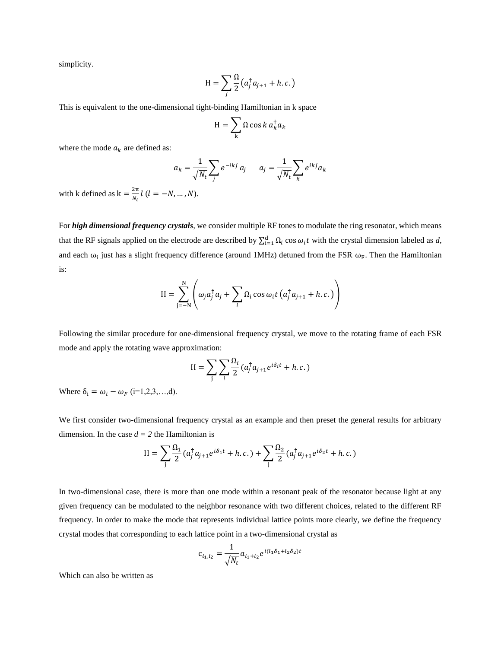simplicity.

$$
H = \sum_{j} \frac{\Omega}{2} \left( a_j^{\dagger} a_{j+1} + h.c. \right)
$$

This is equivalent to the one-dimensional tight-binding Hamiltonian in k space

$$
H = \sum_{k} \Omega \cos k \, a_{k}^{\dagger} a_{k}
$$

where the mode  $a_k$  are defined as:

$$
a_k = \frac{1}{\sqrt{N_t}} \sum_j e^{-ikj} a_j \qquad a_j = \frac{1}{\sqrt{N_t}} \sum_k e^{ikj} a_k
$$

with k defined as  $k = \frac{2\pi}{N}$  $\frac{2\pi}{N_t}$ l ( $l = -N, ..., N$ ).

For *high dimensional frequency crystals*, we consider multiple RF tones to modulate the ring resonator, which means that the RF signals applied on the electrode are described by  $\sum_{i=1}^{d} \Omega_i$  cos  $\omega_i t$  with the crystal dimension labeled as *d*, and each  $\omega_i$  just has a slight frequency difference (around 1MHz) detuned from the FSR  $\omega_F$ . Then the Hamiltonian is:

$$
H = \sum_{j=-N}^{N} \left( \omega_j a_j^{\dagger} a_j + \sum_{i} \Omega_i \cos \omega_i t \left( a_j^{\dagger} a_{j+1} + h.c. \right) \right)
$$

Following the similar procedure for one-dimensional frequency crystal, we move to the rotating frame of each FSR mode and apply the rotating wave approximation:

$$
H = \sum_{j} \sum_{i} \frac{\Omega_i}{2} (a_j^{\dagger} a_{j+1} e^{i\delta_i t} + h.c.)
$$

Where  $\delta_i = \omega_i - \omega_F$  (i=1,2,3,...,d).

We first consider two-dimensional frequency crystal as an example and then preset the general results for arbitrary dimension. In the case  $d = 2$  the Hamiltonian is

$$
H = \sum_{j} \frac{\Omega_1}{2} (a_j^{\dagger} a_{j+1} e^{i\delta_1 t} + h.c.) + \sum_{j} \frac{\Omega_2}{2} (a_j^{\dagger} a_{j+1} e^{i\delta_2 t} + h.c.)
$$

In two-dimensional case, there is more than one mode within a resonant peak of the resonator because light at any given frequency can be modulated to the neighbor resonance with two different choices, related to the different RF frequency. In order to make the mode that represents individual lattice points more clearly, we define the frequency crystal modes that corresponding to each lattice point in a two-dimensional crystal as

$$
c_{l_1,l_2} = \frac{1}{\sqrt{N_t}} a_{l_1+l_2} e^{i(l_1\delta_1 + l_2\delta_2)t}
$$

Which can also be written as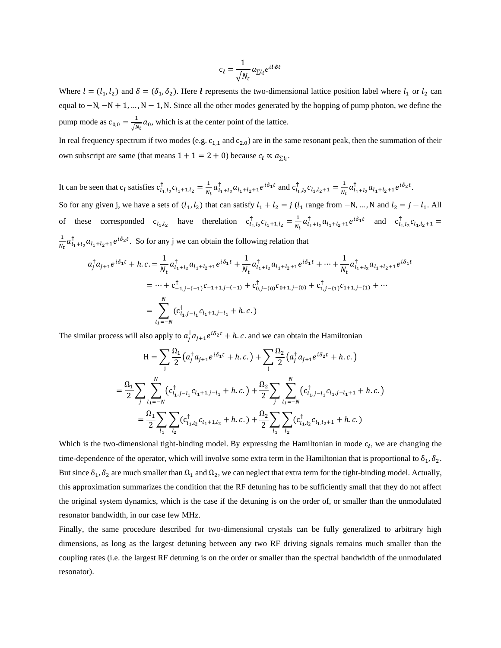$$
c_l = \frac{1}{\sqrt{N_t}} a_{\Sigma l_i} e^{il \cdot \delta t}
$$

Where  $l = (l_1, l_2)$  and  $\delta = (\delta_1, \delta_2)$ . Here *l* represents the two-dimensional lattice position label where  $l_1$  or  $l_2$  can equal to −N, −N + 1, ..., N − 1, N. Since all the other modes generated by the hopping of pump photon, we define the pump mode as  $c_{0,0} = \frac{1}{\sqrt{N}}$  $\frac{1}{\sqrt{N_t}}a_0$ , which is at the center point of the lattice.

In real frequency spectrum if two modes (e.g.  $c_{1,1}$  and  $c_{2,0}$ ) are in the same resonant peak, then the summation of their own subscript are same (that means  $1 + 1 = 2 + 0$ ) because  $c_l \propto a_{\sum l_i}$ .

It can be seen that  $c_l$  satisfies  $c_{l_1,l_2}^{\dagger} c_{l_1+1,l_2} = \frac{1}{N_l}$  $\frac{1}{N_t} a_{l_1+l_2}^{\dagger} a_{l_1+l_2+1} e^{i\delta_1 t}$  and  $c_{l_1,l_2}^{\dagger} c_{l_1,l_2+1} = \frac{1}{N_t}$  $\frac{1}{N_t} a_{l_1+l_2}^{\dagger} a_{l_1+l_2+1} e^{i\delta_2 t}.$ So for any given j, we have a sets of  $(l_1, l_2)$  that can satisfy  $l_1 + l_2 = j$   $(l_1$  range from  $-N, ..., N$  and  $l_2 = j - l_1$ . All of these corresponded  $c_{l_1,l_2}$  have the relation  $c_{l_1,l_2}^{\dagger} c_{l_1+1,l_2} = \frac{1}{N_1}$  $\frac{1}{N_t} a_{l_1+l_2}^{\dagger} a_{l_1+l_2+1} e^{i\delta_1 t}$  and  $c_{l_1,l_2}^{\dagger} c_{l_1,l_2+1} =$ 1  $\frac{1}{N_t} a_{l_1+l_2}^{\dagger} a_{l_1+l_2+1} e^{i\delta_2 t}$ . So for any j we can obtain the following relation that

$$
a_j^{\dagger} a_{j+1} e^{i\delta_1 t} + h.c. = \frac{1}{N_t} a_{l_1+l_2}^{\dagger} a_{l_1+l_2+1} e^{i\delta_1 t} + \frac{1}{N_t} a_{l_1+l_2}^{\dagger} a_{l_1+l_2+1} e^{i\delta_1 t} + \dots + \frac{1}{N_t} a_{l_1+l_2}^{\dagger} a_{l_1+l_2+1} e^{i\delta_1 t}
$$
  
=  $\dots + c_{-1,j-(-1)}^{\dagger} c_{-1+1,j-(-1)} + c_{0,j-(-1)}^{\dagger} c_{0,j-(-1)} c_{0,j-(-1)} + c_{1,j-(-1)}^{\dagger} c_{1+1,j-(-1)} + \dots$   
= 
$$
\sum_{l_1=-N}^{N} (c_{l_1,j-l_1}^{\dagger} c_{l_1+1,j-l_1} + h.c.)
$$

The similar process will also apply to  $a_j^{\dagger} a_{j+1} e^{i \delta_2 t} + h.c.$  and we can obtain the Hamiltonian

$$
H = \sum_{j} \frac{\Omega_{1}}{2} (a_{j}^{\dagger} a_{j+1} e^{i\delta_{1}t} + h.c.) + \sum_{j} \frac{\Omega_{2}}{2} (a_{j}^{\dagger} a_{j+1} e^{i\delta_{2}t} + h.c.)
$$
  

$$
= \frac{\Omega_{1}}{2} \sum_{j} \sum_{l_{1}=-N}^{N} (c_{l_{1},j-l_{1}}^{\dagger} c_{l_{1}+1,j-l_{1}} + h.c.) + \frac{\Omega_{2}}{2} \sum_{j} \sum_{l_{1}=-N}^{N} (c_{l_{1},j-l_{1}}^{\dagger} c_{l_{1},j-l_{1}+1} + h.c.)
$$
  

$$
= \frac{\Omega_{1}}{2} \sum_{l_{1}} \sum_{l_{2}} (c_{l_{1},l_{2}}^{\dagger} c_{l_{1}+1,l_{2}} + h.c.) + \frac{\Omega_{2}}{2} \sum_{l_{1}} \sum_{l_{2}} (c_{l_{1},l_{2}}^{\dagger} c_{l_{1},l_{2}+1} + h.c.)
$$

Which is the two-dimensional tight-binding model. By expressing the Hamiltonian in mode  $c_l$ , we are changing the time-dependence of the operator, which will involve some extra term in the Hamiltonian that is proportional to  $\delta_1$ ,  $\delta_2$ . But since  $\delta_1$ ,  $\delta_2$  are much smaller than  $\Omega_1$  and  $\Omega_2$ , we can neglect that extra term for the tight-binding model. Actually, this approximation summarizes the condition that the RF detuning has to be sufficiently small that they do not affect the original system dynamics, which is the case if the detuning is on the order of, or smaller than the unmodulated resonator bandwidth, in our case few MHz.

Finally, the same procedure described for two-dimensional crystals can be fully generalized to arbitrary high dimensions, as long as the largest detuning between any two RF driving signals remains much smaller than the coupling rates (i.e. the largest RF detuning is on the order or smaller than the spectral bandwidth of the unmodulated resonator).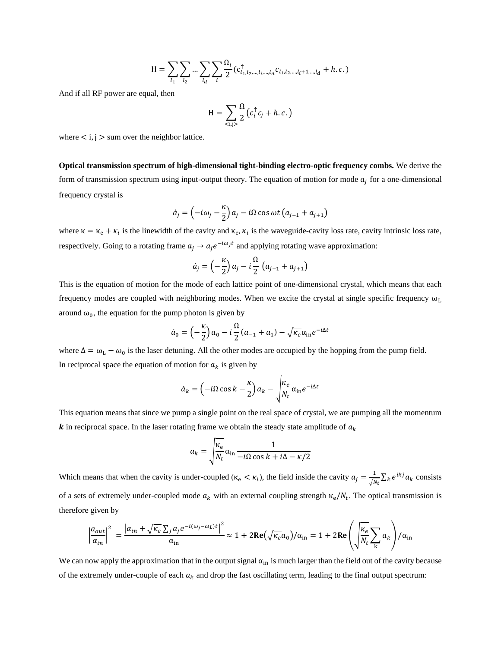$$
H = \sum_{l_1} \sum_{l_2} ... \sum_{l_d} \sum_{i} \frac{\Omega_i}{2} (c_{l_1, l_2, ..., l_i, ..., l_d}^{\dagger} c_{l_1, l_2, ..., l_i+1, ..., l_d} + h.c.)
$$

And if all RF power are equal, then

$$
H = \sum_{}\frac{\Omega}{2}\left(c_i^{\dagger}c_j + h.c.\right)
$$

where  $\lt i, j >$  sum over the neighbor lattice.

**Optical transmission spectrum of high-dimensional tight-binding electro-optic frequency combs.** We derive the form of transmission spectrum using input-output theory. The equation of motion for mode  $a_j$  for a one-dimensional frequency crystal is

$$
\dot{a}_j = \left(-i\omega_j - \frac{\kappa}{2}\right)a_j - i\Omega\cos\omega t \left(a_{j-1} + a_{j+1}\right)
$$

where  $\kappa = \kappa_e + \kappa_i$  is the linewidth of the cavity and  $\kappa_e$ ,  $\kappa_i$  is the waveguide-cavity loss rate, cavity intrinsic loss rate, respectively. Going to a rotating frame  $a_j \rightarrow a_j e^{-i\omega_j t}$  and applying rotating wave approximation:

$$
\dot{a}_j = \left(-\frac{\kappa}{2}\right)a_j - i\frac{\Omega}{2}\left(a_{j-1} + a_{j+1}\right)
$$

This is the equation of motion for the mode of each lattice point of one-dimensional crystal, which means that each frequency modes are coupled with neighboring modes. When we excite the crystal at single specific frequency  $\omega_L$ around  $\omega_0$ , the equation for the pump photon is given by

$$
\dot{a}_0 = \left(-\frac{\kappa}{2}\right)a_0 - i\frac{\Omega}{2}(a_{-1} + a_1) - \sqrt{\kappa_e}\alpha_{\rm in}e^{-i\Delta t}
$$

where  $\Delta = \omega_L - \omega_0$  is the laser detuning. All the other modes are occupied by the hopping from the pump field. In reciprocal space the equation of motion for  $a_k$  is given by

$$
\dot{a}_k = \left(-i\Omega\cos k - \frac{\kappa}{2}\right)a_k - \sqrt{\frac{\kappa_e}{N_t}}\alpha_{\text{in}}e^{-i\Delta t}
$$

This equation means that since we pump a single point on the real space of crystal, we are pumping all the momentum  $\boldsymbol{k}$  in reciprocal space. In the laser rotating frame we obtain the steady state amplitude of  $a_k$ 

$$
a_k = \sqrt{\frac{\kappa_e}{N_t}} \alpha_{\text{in}} \frac{1}{-i\Omega \cos k + i\Delta - \kappa/2}
$$

Which means that when the cavity is under-coupled ( $\kappa_e < \kappa_i$ ), the field inside the cavity  $a_j = \frac{1}{\sqrt{\lambda}}$  $\frac{1}{\sqrt{N_t}}\sum_k e^{ikj} a_k$  consists of a sets of extremely under-coupled mode  $a_k$  with an external coupling strength  $\kappa_e/N_t$ . The optical transmission is therefore given by

$$
\left|\frac{a_{out}}{a_{in}}\right|^2 = \frac{\left|\alpha_{in} + \sqrt{\kappa_e} \sum_j a_j e^{-i(\omega_j - \omega_L)t}\right|^2}{\alpha_{in}} \approx 1 + 2\text{Re}\left(\sqrt{\kappa_e} a_0\right) / \alpha_{in} = 1 + 2\text{Re}\left(\sqrt{\frac{\kappa_e}{N_t}} \sum_k a_k\right) / \alpha_{in}
$$

We can now apply the approximation that in the output signal  $\alpha_{in}$  is much larger than the field out of the cavity because of the extremely under-couple of each  $a_k$  and drop the fast oscillating term, leading to the final output spectrum: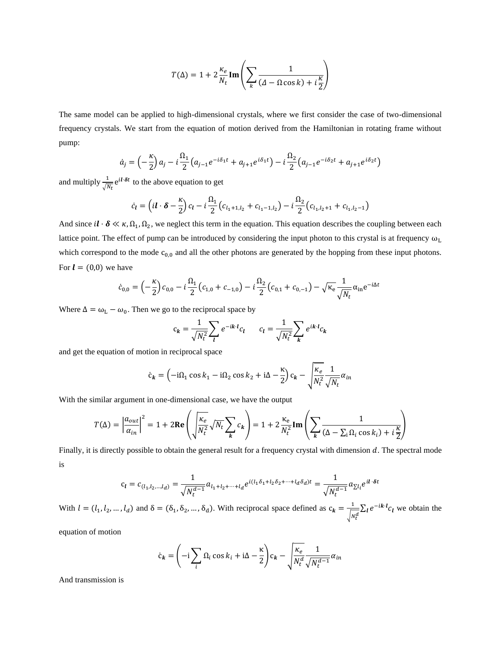$$
T(\Delta) = 1 + 2\frac{\kappa_e}{N_t} \text{Im}\left(\sum_k \frac{1}{(A - \Omega \cos k) + i\frac{\kappa}{2}}\right)
$$

The same model can be applied to high-dimensional crystals, where we first consider the case of two-dimensional frequency crystals. We start from the equation of motion derived from the Hamiltonian in rotating frame without pump:

$$
\dot{a}_j = \left(-\frac{\kappa}{2}\right)a_j - i\frac{\Omega_1}{2}\left(a_{j-1}e^{-i\delta_1 t} + a_{j+1}e^{i\delta_1 t}\right) - i\frac{\Omega_2}{2}\left(a_{j-1}e^{-i\delta_2 t} + a_{j+1}e^{i\delta_2 t}\right)
$$

and multiply  $\frac{1}{\sqrt{N_t}}e^{i\theta t}$  to the above equation to get

$$
\dot{c}_l = \left(i l \cdot \delta - \frac{\kappa}{2}\right) c_l - i \frac{\Omega_1}{2} \left(c_{l_1+1,l_2} + c_{l_1-1,l_2}\right) - i \frac{\Omega_2}{2} \left(c_{l_1,l_2+1} + c_{l_1,l_2-1}\right)
$$

And since  $il \cdot \delta \ll \kappa, \Omega_1, \Omega_2$ , we neglect this term in the equation. This equation describes the coupling between each lattice point. The effect of pump can be introduced by considering the input photon to this crystal is at frequency  $\omega_L$ which correspond to the mode  $c_{0,0}$  and all the other photons are generated by the hopping from these input photons. For  $\mathbf{l} = (0,0)$  we have

$$
\dot{c}_{0,0} = \left(-\frac{\kappa}{2}\right)c_{0,0} - i\frac{\Omega_1}{2}\left(c_{1,0} + c_{-1,0}\right) - i\frac{\Omega_2}{2}\left(c_{0,1} + c_{0,-1}\right) - \sqrt{\kappa_e}\frac{1}{\sqrt{N_t}}\alpha_{\text{in}}e^{-i\Delta t}
$$

Where  $\Delta = \omega_L - \omega_0$ . Then we go to the reciprocal space by

$$
c_k = \frac{1}{\sqrt{N_t^2}} \sum_l e^{-ik \cdot l} c_l \qquad c_l = \frac{1}{\sqrt{N_t^2}} \sum_k e^{ik \cdot l} c_k
$$

and get the equation of motion in reciprocal space

$$
\dot{c}_k = \left(-i\Omega_1 \cos k_1 - i\Omega_2 \cos k_2 + i\Delta - \frac{\kappa}{2}\right) c_k - \sqrt{\frac{\kappa_e}{N_t^2} \frac{1}{\sqrt{N_t}}} \alpha_{in}
$$

With the similar argument in one-dimensional case, we have the output

$$
T(\Delta) = \left| \frac{a_{out}}{a_{in}} \right|^2 = 1 + 2\text{Re}\left(\sqrt{\frac{\kappa_e}{N_t^2}} \sqrt{N_t} \sum_k c_k \right) = 1 + 2\frac{\kappa_e}{N_t^2} \text{Im}\left(\sum_k \frac{1}{(\Delta - \sum_i \Omega_i \cos k_i) + i\frac{\kappa}{2}}\right)
$$

Finally, it is directly possible to obtain the general result for a frequency crystal with dimension  $d$ . The spectral mode is

$$
c_l = c_{(l_1, l_2, \dots, l_d)} = \frac{1}{\sqrt{N_t^{d-1}}} a_{l_1 + l_2 + \dots + l_d} e^{i(l_1 \delta_1 + l_2 \delta_2 + \dots + l_d \delta_d)t} = \frac{1}{\sqrt{N_t^{d-1}}} a_{\Sigma l_i} e^{il \cdot \delta t}
$$

With  $l = (l_1, l_2, ..., l_d)$  and  $\delta = (\delta_1, \delta_2, ..., \delta_d)$ . With reciprocal space defined as  $c_k = \frac{1}{\sqrt{2\pi}}$  $\frac{1}{\sqrt{N_t^d}} \sum_l e^{-ik \cdot l} c_l$  we obtain the

equation of motion

$$
\dot{c}_k = \left(-i\sum_i \Omega_i \cos k_i + i\Delta - \frac{\kappa}{2}\right) c_k - \sqrt{\frac{\kappa_e}{N_t^d} \frac{1}{\sqrt{N_t^{d-1}}} \alpha_{in}
$$

And transmission is